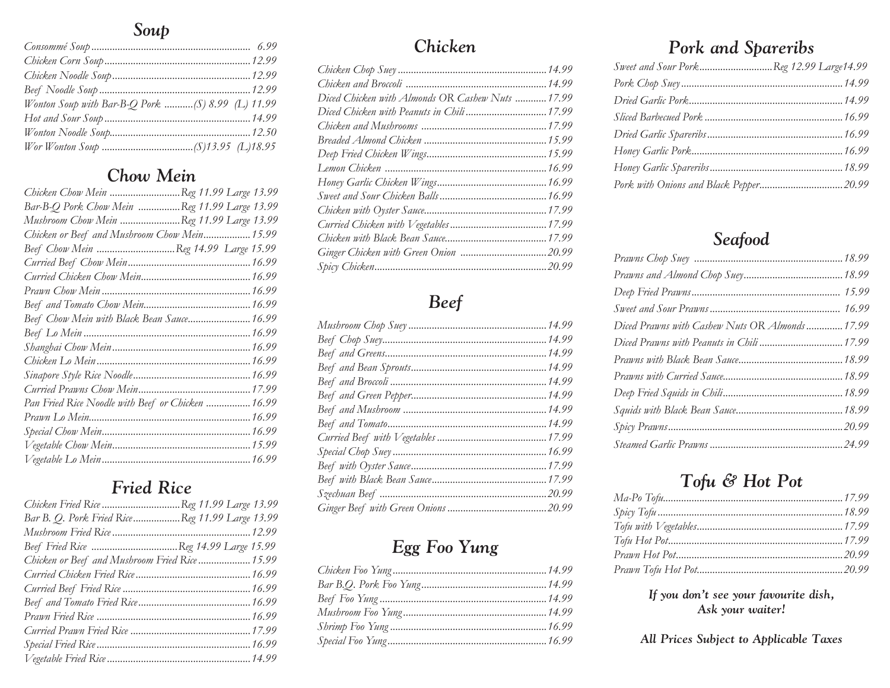#### *Soup*

| Wonton Soup with Bar-B-Q Pork (S) 8.99 (L) 11.99 |  |
|--------------------------------------------------|--|
|                                                  |  |
|                                                  |  |
|                                                  |  |

#### *Chow Mein*

| Chicken Chow Mein Reg 11.99 Large 13.99           |  |
|---------------------------------------------------|--|
| Bar-B-Q Pork Chow Mein Reg 11.99 Large 13.99      |  |
| Mushroom Chow Mein Reg 11.99 Large 13.99          |  |
| Chicken or Beef and Mushroom Chow Mein 15.99      |  |
| Beef Chow Mein Reg 14.99 Large 15.99              |  |
|                                                   |  |
|                                                   |  |
|                                                   |  |
|                                                   |  |
| Beef Chow Mein with Black Bean Sauce 16.99        |  |
|                                                   |  |
|                                                   |  |
|                                                   |  |
|                                                   |  |
|                                                   |  |
| Pan Fried Rice Noodle with Beef or Chicken  16.99 |  |
|                                                   |  |
|                                                   |  |
|                                                   |  |
|                                                   |  |
|                                                   |  |

## *Fried Rice*

| Chicken Fried Rice Reg 11.99 Large 13.99       |  |
|------------------------------------------------|--|
| Bar B. Q. Pork Fried RiceReg 11.99 Large 13.99 |  |
|                                                |  |
| Beef Fried Rice Reg 14.99 Large 15.99          |  |
| Chicken or Beef and Mushroom Fried Rice  15.99 |  |
|                                                |  |
|                                                |  |
|                                                |  |
|                                                |  |
|                                                |  |
|                                                |  |
|                                                |  |

#### *Chicken*

| Diced Chicken with Almonds OR Cashew Nuts  17.99 |  |
|--------------------------------------------------|--|
| Diced Chicken with Peanuts in Chili  17.99       |  |
|                                                  |  |
|                                                  |  |
|                                                  |  |
|                                                  |  |
|                                                  |  |
|                                                  |  |
|                                                  |  |
|                                                  |  |
|                                                  |  |
|                                                  |  |
|                                                  |  |

# *Beef*

# *Egg Foo Yung*

# *Pork and Spareribs*

| Sweet and Sour PorkReg 12.99 Large14.99 |  |
|-----------------------------------------|--|
|                                         |  |
|                                         |  |
|                                         |  |
|                                         |  |
|                                         |  |
|                                         |  |
|                                         |  |

## *Seafood*

| Diced Prawns with Cashew Nuts OR Almonds 17.99 |  |
|------------------------------------------------|--|
|                                                |  |
|                                                |  |
|                                                |  |
|                                                |  |
|                                                |  |
|                                                |  |
|                                                |  |
|                                                |  |

# *Tofu & Hot Pot*

#### *If you don't see your favourite dish, Ask your waiter!*

*All Prices Subject to Applicable Taxes*